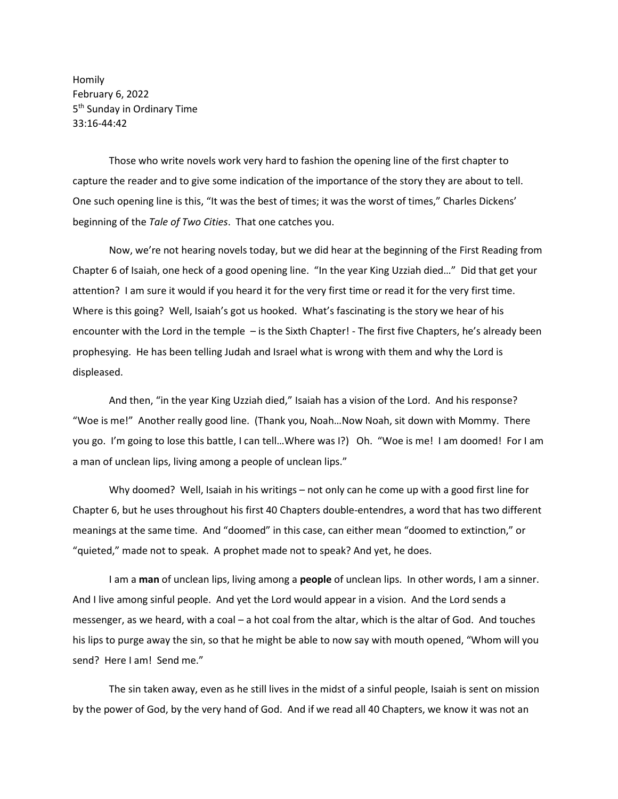Homily February 6, 2022 5<sup>th</sup> Sunday in Ordinary Time 33:16-44:42

Those who write novels work very hard to fashion the opening line of the first chapter to capture the reader and to give some indication of the importance of the story they are about to tell. One such opening line is this, "It was the best of times; it was the worst of times," Charles Dickens' beginning of the *Tale of Two Cities*. That one catches you.

Now, we're not hearing novels today, but we did hear at the beginning of the First Reading from Chapter 6 of Isaiah, one heck of a good opening line. "In the year King Uzziah died…" Did that get your attention? I am sure it would if you heard it for the very first time or read it for the very first time. Where is this going? Well, Isaiah's got us hooked. What's fascinating is the story we hear of his encounter with the Lord in the temple – is the Sixth Chapter! - The first five Chapters, he's already been prophesying. He has been telling Judah and Israel what is wrong with them and why the Lord is displeased.

And then, "in the year King Uzziah died," Isaiah has a vision of the Lord. And his response? "Woe is me!" Another really good line. (Thank you, Noah…Now Noah, sit down with Mommy. There you go. I'm going to lose this battle, I can tell…Where was I?) Oh. "Woe is me! I am doomed! For I am a man of unclean lips, living among a people of unclean lips."

Why doomed? Well, Isaiah in his writings – not only can he come up with a good first line for Chapter 6, but he uses throughout his first 40 Chapters double-entendres, a word that has two different meanings at the same time. And "doomed" in this case, can either mean "doomed to extinction," or "quieted," made not to speak. A prophet made not to speak? And yet, he does.

I am a **man** of unclean lips, living among a **people** of unclean lips. In other words, I am a sinner. And I live among sinful people. And yet the Lord would appear in a vision. And the Lord sends a messenger, as we heard, with a coal – a hot coal from the altar, which is the altar of God. And touches his lips to purge away the sin, so that he might be able to now say with mouth opened, "Whom will you send? Here I am! Send me."

The sin taken away, even as he still lives in the midst of a sinful people, Isaiah is sent on mission by the power of God, by the very hand of God. And if we read all 40 Chapters, we know it was not an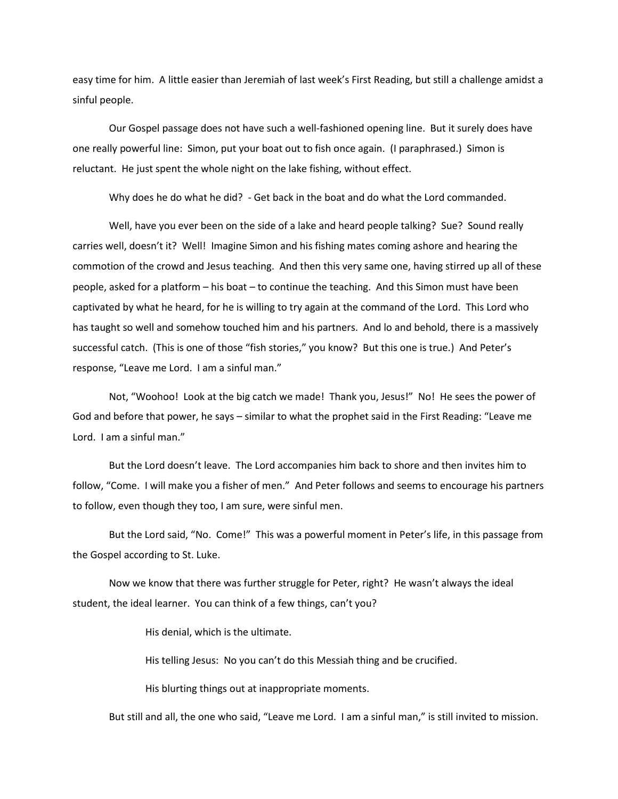easy time for him. A little easier than Jeremiah of last week's First Reading, but still a challenge amidst a sinful people.

Our Gospel passage does not have such a well-fashioned opening line. But it surely does have one really powerful line: Simon, put your boat out to fish once again. (I paraphrased.) Simon is reluctant. He just spent the whole night on the lake fishing, without effect.

Why does he do what he did? - Get back in the boat and do what the Lord commanded.

Well, have you ever been on the side of a lake and heard people talking? Sue? Sound really carries well, doesn't it? Well! Imagine Simon and his fishing mates coming ashore and hearing the commotion of the crowd and Jesus teaching. And then this very same one, having stirred up all of these people, asked for a platform – his boat – to continue the teaching. And this Simon must have been captivated by what he heard, for he is willing to try again at the command of the Lord. This Lord who has taught so well and somehow touched him and his partners. And lo and behold, there is a massively successful catch. (This is one of those "fish stories," you know? But this one is true.) And Peter's response, "Leave me Lord. I am a sinful man."

Not, "Woohoo! Look at the big catch we made! Thank you, Jesus!" No! He sees the power of God and before that power, he says – similar to what the prophet said in the First Reading: "Leave me Lord. I am a sinful man."

But the Lord doesn't leave. The Lord accompanies him back to shore and then invites him to follow, "Come. I will make you a fisher of men." And Peter follows and seems to encourage his partners to follow, even though they too, I am sure, were sinful men.

But the Lord said, "No. Come!" This was a powerful moment in Peter's life, in this passage from the Gospel according to St. Luke.

Now we know that there was further struggle for Peter, right? He wasn't always the ideal student, the ideal learner. You can think of a few things, can't you?

His denial, which is the ultimate.

His telling Jesus: No you can't do this Messiah thing and be crucified.

His blurting things out at inappropriate moments.

But still and all, the one who said, "Leave me Lord. I am a sinful man," is still invited to mission.